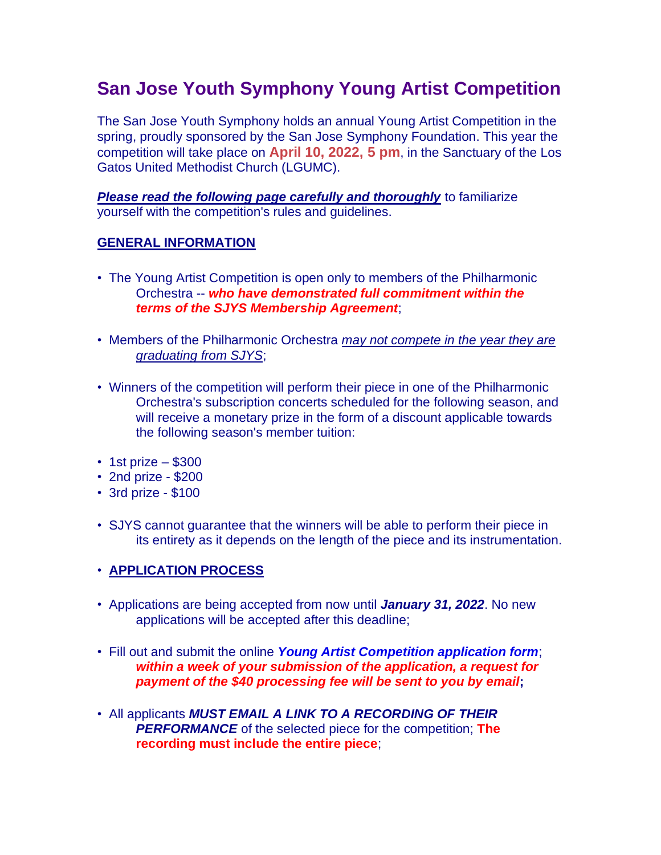# **San Jose Youth Symphony Young Artist Competition**

The San Jose Youth Symphony holds an annual Young Artist Competition in the spring, proudly sponsored by the San Jose Symphony Foundation. This year the competition will take place on **April 10, 2022, 5 pm**, in the Sanctuary of the Los Gatos United Methodist Church (LGUMC).

*Please read the following page carefully and thoroughly* to familiarize yourself with the competition's rules and guidelines.

### **GENERAL INFORMATION**

- The Young Artist Competition is open only to members of the Philharmonic Orchestra -- *who have demonstrated full commitment within the terms of the SJYS Membership Agreement*;
- Members of the Philharmonic Orchestra *may not compete in the year they are graduating from SJYS*;
- Winners of the competition will perform their piece in one of the Philharmonic Orchestra's subscription concerts scheduled for the following season, and will receive a monetary prize in the form of a discount applicable towards the following season's member tuition:
- $\cdot$  1st prize \$300
- 2nd prize \$200
- 3rd prize \$100
- SJYS cannot guarantee that the winners will be able to perform their piece in its entirety as it depends on the length of the piece and its instrumentation.

### • **APPLICATION PROCESS**

- Applications are being accepted from now until *January 31, 2022*. No new applications will be accepted after this deadline;
- Fill out and submit the online *Young Artist Competition application form*; *within a week of your submission of the application, a request for payment of the \$40 processing fee will be sent to you by email***;**
- All applicants *MUST EMAIL A LINK TO A RECORDING OF THEIR PERFORMANCE* of the selected piece for the competition; **The recording must include the entire piece**;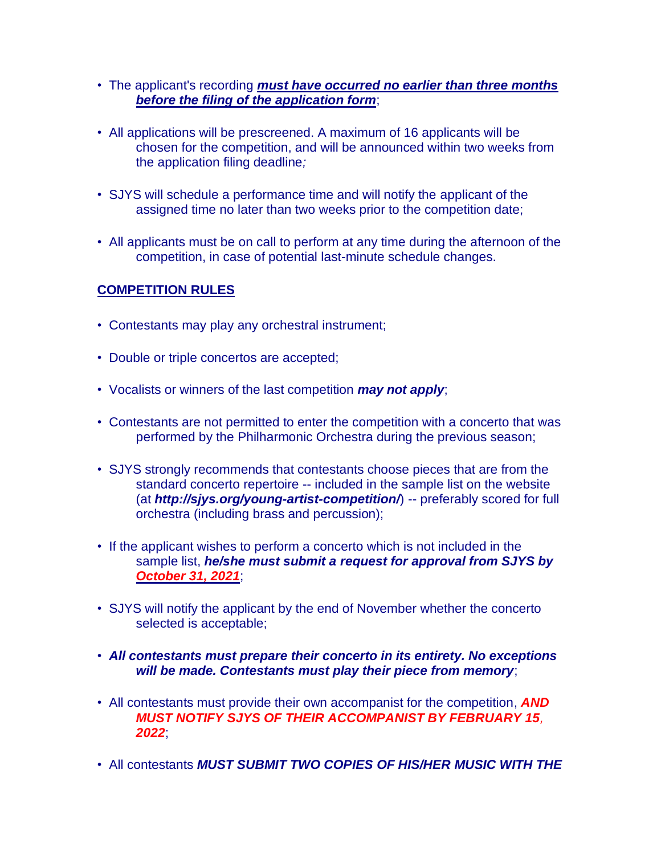- The applicant's recording *must have occurred no earlier than three months before the filing of the application form*;
- All applications will be prescreened. A maximum of 16 applicants will be chosen for the competition, and will be announced within two weeks from the application filing deadline*;*
- SJYS will schedule a performance time and will notify the applicant of the assigned time no later than two weeks prior to the competition date;
- All applicants must be on call to perform at any time during the afternoon of the competition, in case of potential last-minute schedule changes.

# **COMPETITION RULES**

- Contestants may play any orchestral instrument;
- Double or triple concertos are accepted;
- Vocalists or winners of the last competition *may not apply*;
- Contestants are not permitted to enter the competition with a concerto that was performed by the Philharmonic Orchestra during the previous season;
- SJYS strongly recommends that contestants choose pieces that are from the standard concerto repertoire -- included in the sample list on the website (at *http://sjys.org/young-artist-competition/*) -- preferably scored for full orchestra (including brass and percussion);
- If the applicant wishes to perform a concerto which is not included in the sample list, *he/she must submit a request for approval from SJYS by October 31, 2021*;
- SJYS will notify the applicant by the end of November whether the concerto selected is acceptable;
- *All contestants must prepare their concerto in its entirety. No exceptions will be made. Contestants must play their piece from memory*;
- All contestants must provide their own accompanist for the competition, *AND MUST NOTIFY SJYS OF THEIR ACCOMPANIST BY FEBRUARY 15, 2022*;
- All contestants *MUST SUBMIT TWO COPIES OF HIS/HER MUSIC WITH THE*